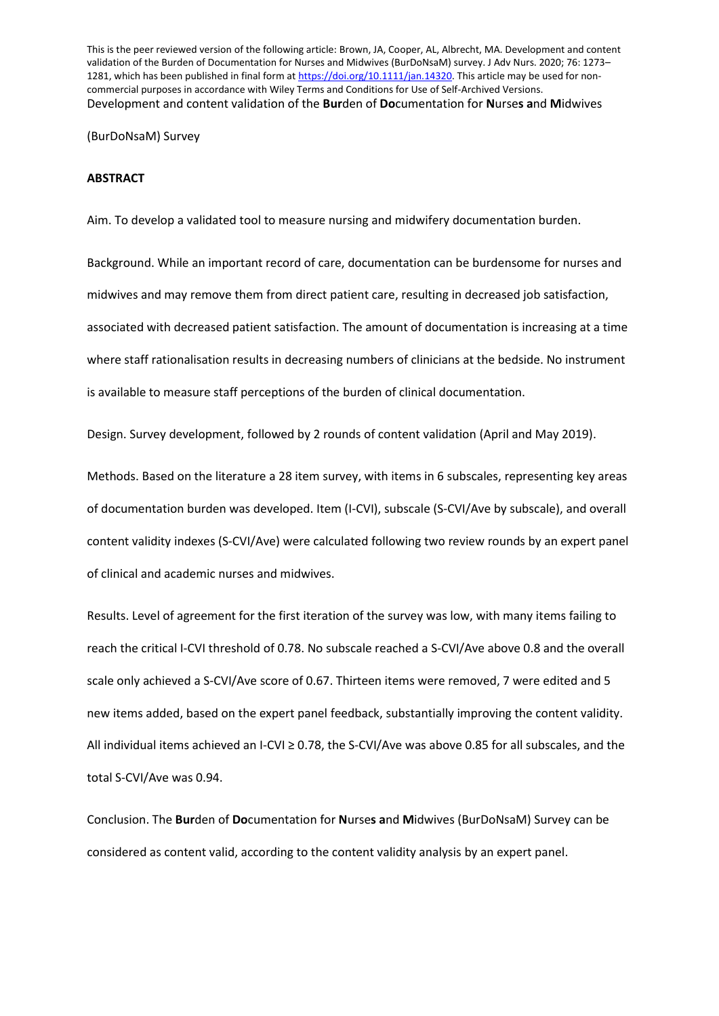This is the peer reviewed version of the following article: Brown, JA, Cooper, AL, Albrecht, MA. Development and content validation of the Burden of Documentation for Nurses and Midwives (BurDoNsaM) survey. J Adv Nurs. 2020; 76: 1273– 1281, which has been published in final form a[t https://doi.org/10.1111/jan.14320.](https://doi.org/10.1111/jan.14320) This article may be used for noncommercial purposes in accordance with Wiley Terms and Conditions for Use of Self-Archived Versions. Development and content validation of the **Bur**den of **Do**cumentation for **N**urse**s a**nd **M**idwives

(BurDoNsaM) Survey

#### **ABSTRACT**

Aim. To develop a validated tool to measure nursing and midwifery documentation burden.

Background. While an important record of care, documentation can be burdensome for nurses and midwives and may remove them from direct patient care, resulting in decreased job satisfaction, associated with decreased patient satisfaction. The amount of documentation is increasing at a time where staff rationalisation results in decreasing numbers of clinicians at the bedside. No instrument is available to measure staff perceptions of the burden of clinical documentation.

Design. Survey development, followed by 2 rounds of content validation (April and May 2019).

Methods. Based on the literature a 28 item survey, with items in 6 subscales, representing key areas of documentation burden was developed. Item (I-CVI), subscale (S-CVI/Ave by subscale), and overall content validity indexes (S-CVI/Ave) were calculated following two review rounds by an expert panel of clinical and academic nurses and midwives.

Results. Level of agreement for the first iteration of the survey was low, with many items failing to reach the critical I-CVI threshold of 0.78. No subscale reached a S-CVI/Ave above 0.8 and the overall scale only achieved a S-CVI/Ave score of 0.67. Thirteen items were removed, 7 were edited and 5 new items added, based on the expert panel feedback, substantially improving the content validity. All individual items achieved an I-CVI ≥ 0.78, the S-CVI/Ave was above 0.85 for all subscales, and the total S-CVI/Ave was 0.94.

Conclusion. The **Bur**den of **Do**cumentation for **N**urse**s a**nd **M**idwives (BurDoNsaM) Survey can be considered as content valid, according to the content validity analysis by an expert panel.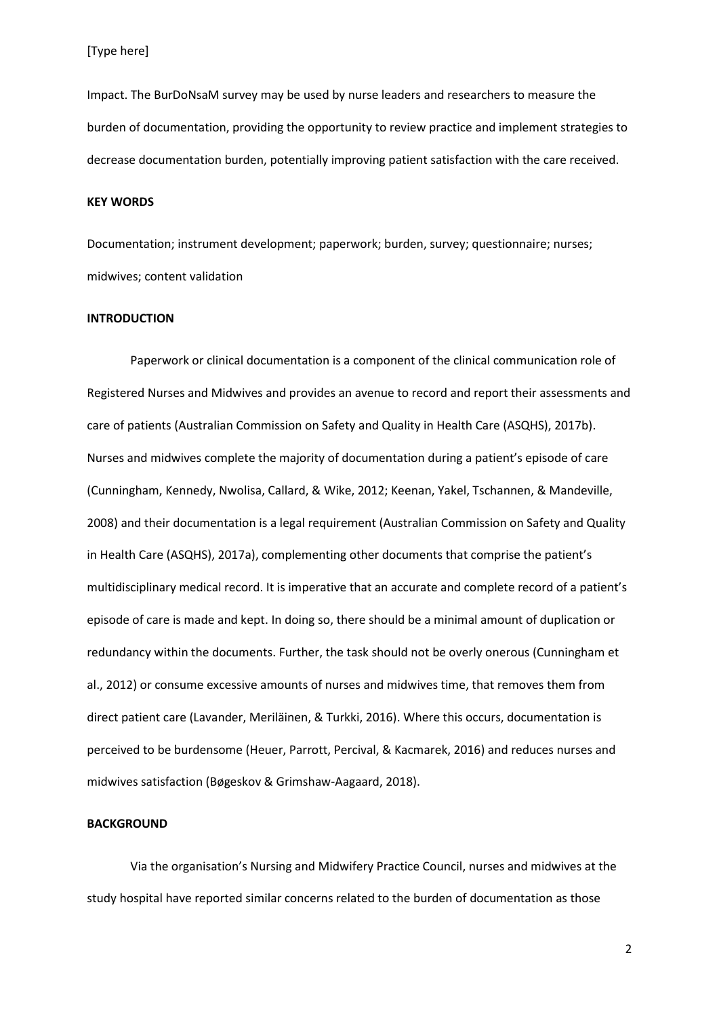Impact. The BurDoNsaM survey may be used by nurse leaders and researchers to measure the burden of documentation, providing the opportunity to review practice and implement strategies to decrease documentation burden, potentially improving patient satisfaction with the care received.

#### **KEY WORDS**

Documentation; instrument development; paperwork; burden, survey; questionnaire; nurses; midwives; content validation

## **INTRODUCTION**

Paperwork or clinical documentation is a component of the clinical communication role of Registered Nurses and Midwives and provides an avenue to record and report their assessments and care of patients (Australian Commission on Safety and Quality in Health Care (ASQHS), 2017b). Nurses and midwives complete the majority of documentation during a patient's episode of care (Cunningham, Kennedy, Nwolisa, Callard, & Wike, 2012; Keenan, Yakel, Tschannen, & Mandeville, 2008) and their documentation is a legal requirement (Australian Commission on Safety and Quality in Health Care (ASQHS), 2017a), complementing other documents that comprise the patient's multidisciplinary medical record. It is imperative that an accurate and complete record of a patient's episode of care is made and kept. In doing so, there should be a minimal amount of duplication or redundancy within the documents. Further, the task should not be overly onerous (Cunningham et al., 2012) or consume excessive amounts of nurses and midwives time, that removes them from direct patient care (Lavander, Meriläinen, & Turkki, 2016). Where this occurs, documentation is perceived to be burdensome (Heuer, Parrott, Percival, & Kacmarek, 2016) and reduces nurses and midwives satisfaction (Bøgeskov & Grimshaw-Aagaard, 2018).

# **BACKGROUND**

Via the organisation's Nursing and Midwifery Practice Council, nurses and midwives at the study hospital have reported similar concerns related to the burden of documentation as those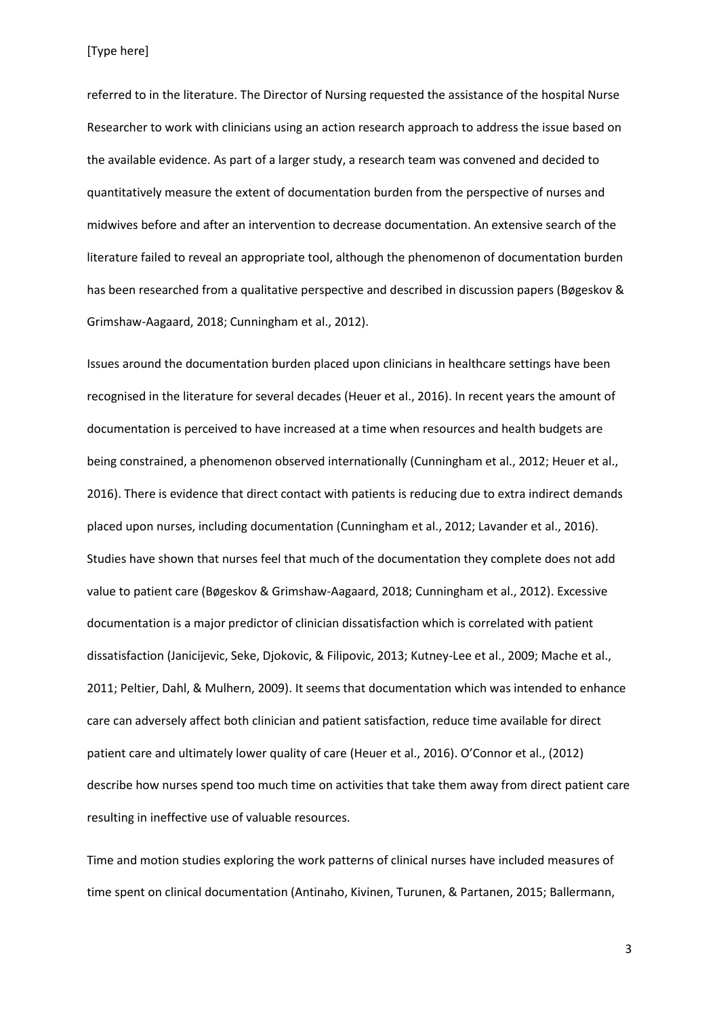[Type here]

referred to in the literature. The Director of Nursing requested the assistance of the hospital Nurse Researcher to work with clinicians using an action research approach to address the issue based on the available evidence. As part of a larger study, a research team was convened and decided to quantitatively measure the extent of documentation burden from the perspective of nurses and midwives before and after an intervention to decrease documentation. An extensive search of the literature failed to reveal an appropriate tool, although the phenomenon of documentation burden has been researched from a qualitative perspective and described in discussion papers (Bøgeskov & Grimshaw-Aagaard, 2018; Cunningham et al., 2012).

Issues around the documentation burden placed upon clinicians in healthcare settings have been recognised in the literature for several decades (Heuer et al., 2016). In recent years the amount of documentation is perceived to have increased at a time when resources and health budgets are being constrained, a phenomenon observed internationally (Cunningham et al., 2012; Heuer et al., 2016). There is evidence that direct contact with patients is reducing due to extra indirect demands placed upon nurses, including documentation (Cunningham et al., 2012; Lavander et al., 2016). Studies have shown that nurses feel that much of the documentation they complete does not add value to patient care (Bøgeskov & Grimshaw-Aagaard, 2018; Cunningham et al., 2012). Excessive documentation is a major predictor of clinician dissatisfaction which is correlated with patient dissatisfaction (Janicijevic, Seke, Djokovic, & Filipovic, 2013; Kutney-Lee et al., 2009; Mache et al., 2011; Peltier, Dahl, & Mulhern, 2009). It seems that documentation which was intended to enhance care can adversely affect both clinician and patient satisfaction, reduce time available for direct patient care and ultimately lower quality of care (Heuer et al., 2016). O'Connor et al., (2012) describe how nurses spend too much time on activities that take them away from direct patient care resulting in ineffective use of valuable resources.

Time and motion studies exploring the work patterns of clinical nurses have included measures of time spent on clinical documentation (Antinaho, Kivinen, Turunen, & Partanen, 2015; Ballermann,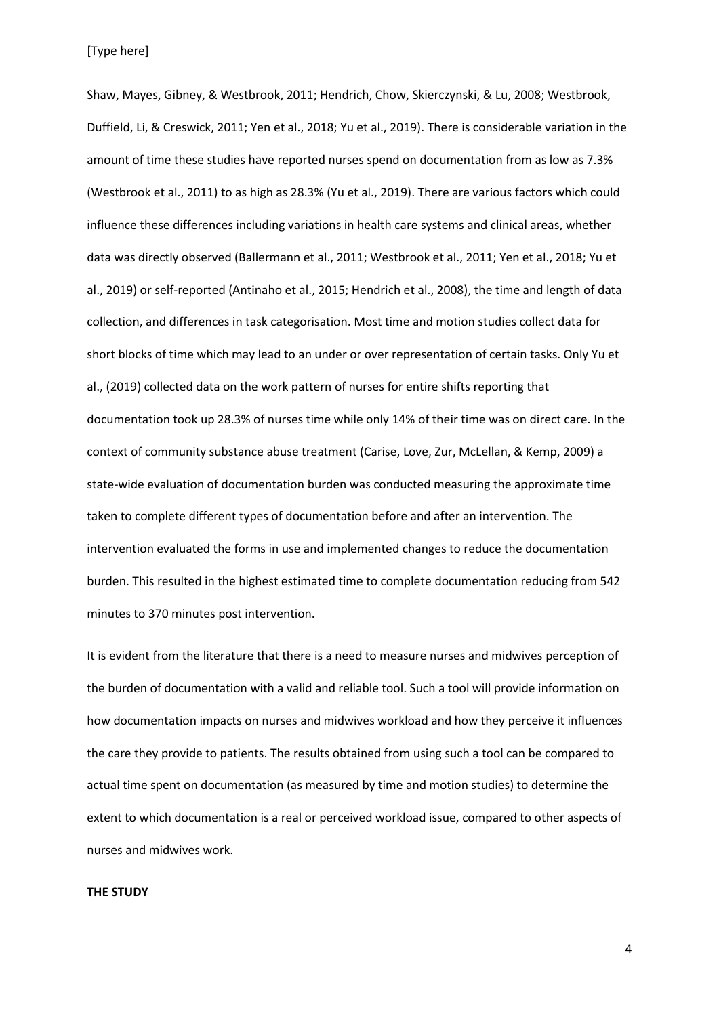Shaw, Mayes, Gibney, & Westbrook, 2011; Hendrich, Chow, Skierczynski, & Lu, 2008; Westbrook, Duffield, Li, & Creswick, 2011; Yen et al., 2018; Yu et al., 2019). There is considerable variation in the amount of time these studies have reported nurses spend on documentation from as low as 7.3% (Westbrook et al., 2011) to as high as 28.3% (Yu et al., 2019). There are various factors which could influence these differences including variations in health care systems and clinical areas, whether data was directly observed (Ballermann et al., 2011; Westbrook et al., 2011; Yen et al., 2018; Yu et al., 2019) or self-reported (Antinaho et al., 2015; Hendrich et al., 2008), the time and length of data collection, and differences in task categorisation. Most time and motion studies collect data for short blocks of time which may lead to an under or over representation of certain tasks. Only Yu et al., (2019) collected data on the work pattern of nurses for entire shifts reporting that documentation took up 28.3% of nurses time while only 14% of their time was on direct care. In the context of community substance abuse treatment (Carise, Love, Zur, McLellan, & Kemp, 2009) a state-wide evaluation of documentation burden was conducted measuring the approximate time taken to complete different types of documentation before and after an intervention. The intervention evaluated the forms in use and implemented changes to reduce the documentation burden. This resulted in the highest estimated time to complete documentation reducing from 542 minutes to 370 minutes post intervention.

It is evident from the literature that there is a need to measure nurses and midwives perception of the burden of documentation with a valid and reliable tool. Such a tool will provide information on how documentation impacts on nurses and midwives workload and how they perceive it influences the care they provide to patients. The results obtained from using such a tool can be compared to actual time spent on documentation (as measured by time and motion studies) to determine the extent to which documentation is a real or perceived workload issue, compared to other aspects of nurses and midwives work.

# **THE STUDY**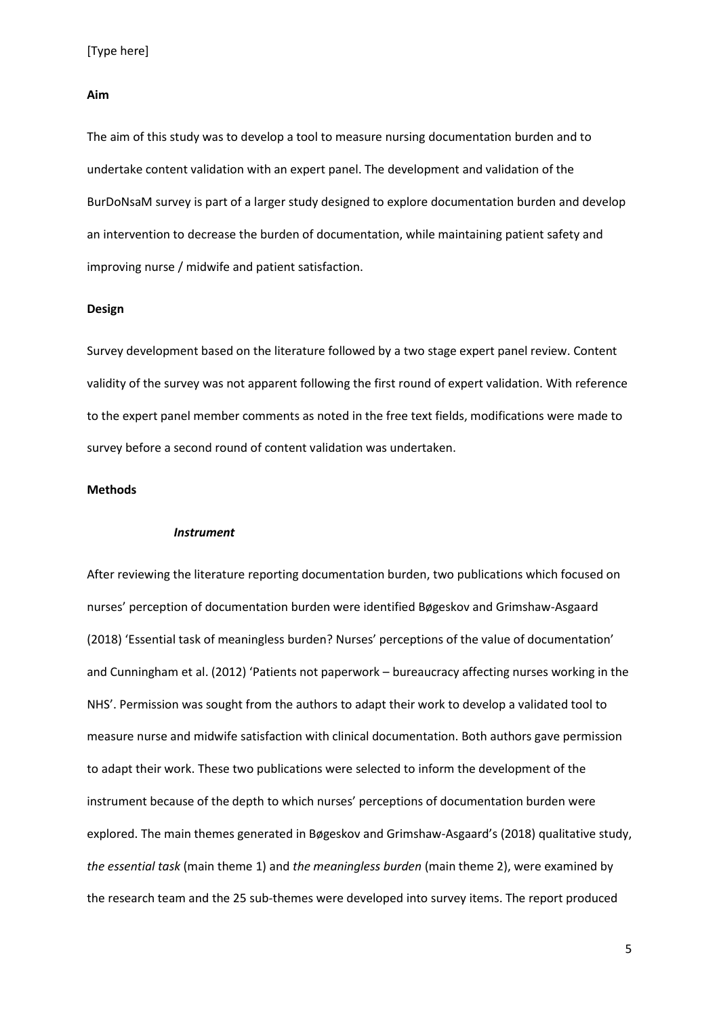# **Aim**

The aim of this study was to develop a tool to measure nursing documentation burden and to undertake content validation with an expert panel. The development and validation of the BurDoNsaM survey is part of a larger study designed to explore documentation burden and develop an intervention to decrease the burden of documentation, while maintaining patient safety and improving nurse / midwife and patient satisfaction.

# **Design**

Survey development based on the literature followed by a two stage expert panel review. Content validity of the survey was not apparent following the first round of expert validation. With reference to the expert panel member comments as noted in the free text fields, modifications were made to survey before a second round of content validation was undertaken.

# **Methods**

#### *Instrument*

After reviewing the literature reporting documentation burden, two publications which focused on nurses' perception of documentation burden were identified Bøgeskov and Grimshaw-Asgaard (2018) 'Essential task of meaningless burden? Nurses' perceptions of the value of documentation' and Cunningham et al. (2012) 'Patients not paperwork – bureaucracy affecting nurses working in the NHS'. Permission was sought from the authors to adapt their work to develop a validated tool to measure nurse and midwife satisfaction with clinical documentation. Both authors gave permission to adapt their work. These two publications were selected to inform the development of the instrument because of the depth to which nurses' perceptions of documentation burden were explored. The main themes generated in Bøgeskov and Grimshaw-Asgaard's (2018) qualitative study, *the essential task* (main theme 1) and *the meaningless burden* (main theme 2), were examined by the research team and the 25 sub-themes were developed into survey items. The report produced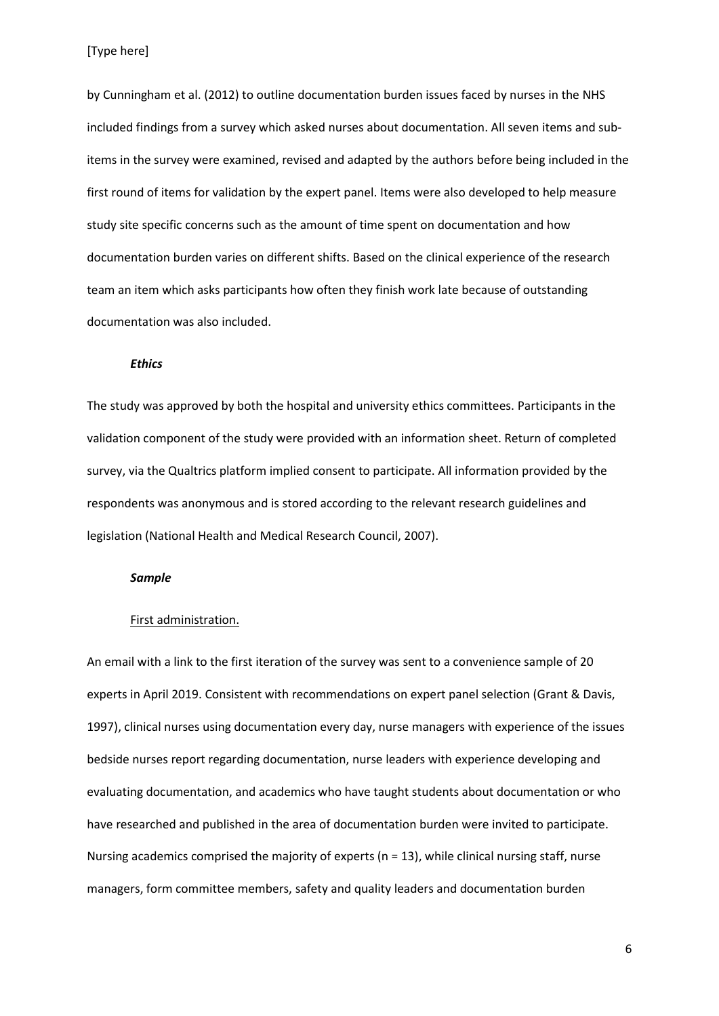by Cunningham et al. (2012) to outline documentation burden issues faced by nurses in the NHS included findings from a survey which asked nurses about documentation. All seven items and subitems in the survey were examined, revised and adapted by the authors before being included in the first round of items for validation by the expert panel. Items were also developed to help measure study site specific concerns such as the amount of time spent on documentation and how documentation burden varies on different shifts. Based on the clinical experience of the research team an item which asks participants how often they finish work late because of outstanding documentation was also included.

# *Ethics*

The study was approved by both the hospital and university ethics committees. Participants in the validation component of the study were provided with an information sheet. Return of completed survey, via the Qualtrics platform implied consent to participate. All information provided by the respondents was anonymous and is stored according to the relevant research guidelines and legislation (National Health and Medical Research Council, 2007).

# *Sample*

### First administration.

An email with a link to the first iteration of the survey was sent to a convenience sample of 20 experts in April 2019. Consistent with recommendations on expert panel selection (Grant & Davis, 1997), clinical nurses using documentation every day, nurse managers with experience of the issues bedside nurses report regarding documentation, nurse leaders with experience developing and evaluating documentation, and academics who have taught students about documentation or who have researched and published in the area of documentation burden were invited to participate. Nursing academics comprised the majority of experts ( $n = 13$ ), while clinical nursing staff, nurse managers, form committee members, safety and quality leaders and documentation burden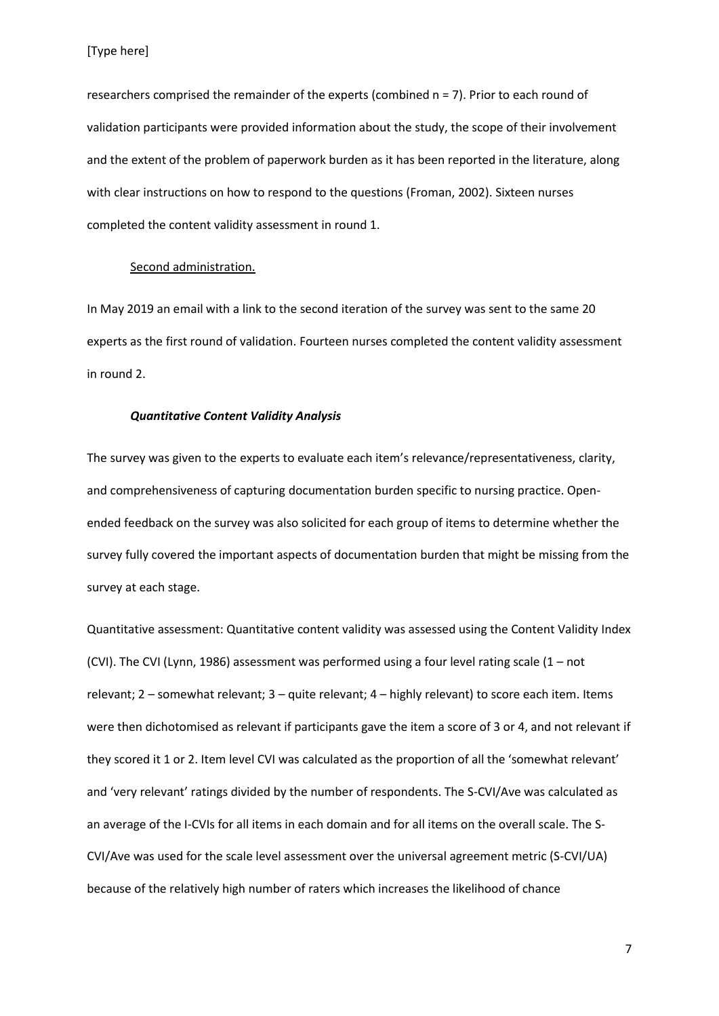researchers comprised the remainder of the experts (combined n = 7). Prior to each round of validation participants were provided information about the study, the scope of their involvement and the extent of the problem of paperwork burden as it has been reported in the literature, along with clear instructions on how to respond to the questions (Froman, 2002). Sixteen nurses completed the content validity assessment in round 1.

#### Second administration.

In May 2019 an email with a link to the second iteration of the survey was sent to the same 20 experts as the first round of validation. Fourteen nurses completed the content validity assessment in round 2.

## *Quantitative Content Validity Analysis*

The survey was given to the experts to evaluate each item's relevance/representativeness, clarity, and comprehensiveness of capturing documentation burden specific to nursing practice. Openended feedback on the survey was also solicited for each group of items to determine whether the survey fully covered the important aspects of documentation burden that might be missing from the survey at each stage.

Quantitative assessment: Quantitative content validity was assessed using the Content Validity Index (CVI). The CVI (Lynn, 1986) assessment was performed using a four level rating scale (1 – not relevant; 2 – somewhat relevant; 3 – quite relevant; 4 – highly relevant) to score each item. Items were then dichotomised as relevant if participants gave the item a score of 3 or 4, and not relevant if they scored it 1 or 2. Item level CVI was calculated as the proportion of all the 'somewhat relevant' and 'very relevant' ratings divided by the number of respondents. The S-CVI/Ave was calculated as an average of the I-CVIs for all items in each domain and for all items on the overall scale. The S-CVI/Ave was used for the scale level assessment over the universal agreement metric (S-CVI/UA) because of the relatively high number of raters which increases the likelihood of chance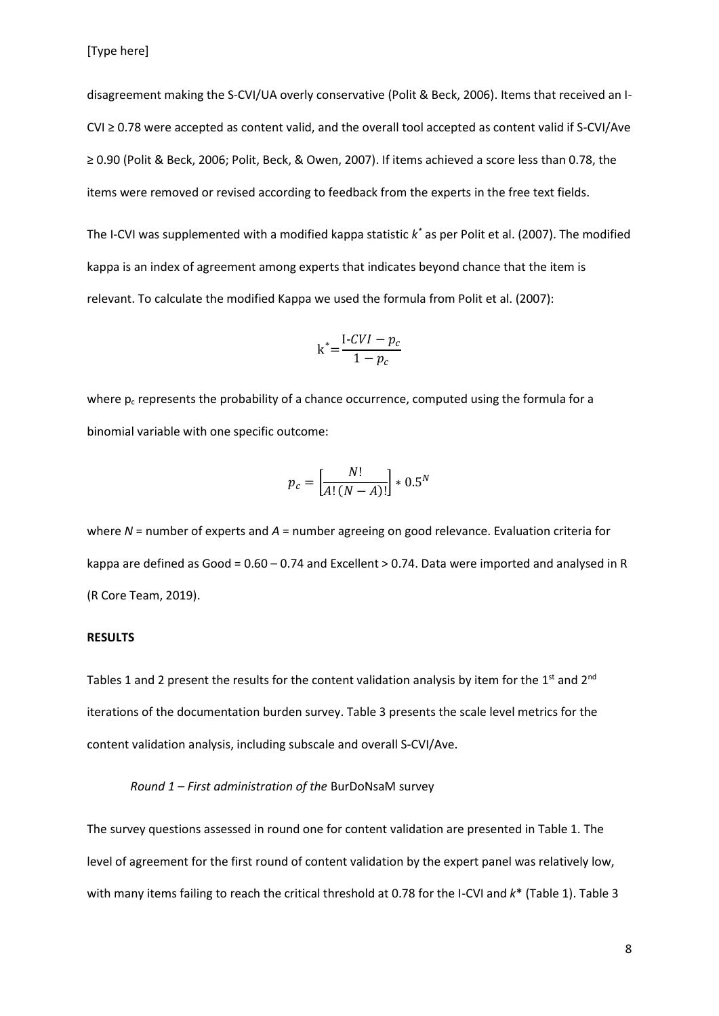disagreement making the S-CVI/UA overly conservative (Polit & Beck, 2006). Items that received an I-CVI ≥ 0.78 were accepted as content valid, and the overall tool accepted as content valid if S-CVI/Ave ≥ 0.90 (Polit & Beck, 2006; Polit, Beck, & Owen, 2007). If items achieved a score less than 0.78, the items were removed or revised according to feedback from the experts in the free text fields.

The I-CVI was supplemented with a modified kappa statistic *k \** as per Polit et al. (2007). The modified kappa is an index of agreement among experts that indicates beyond chance that the item is relevant. To calculate the modified Kappa we used the formula from Polit et al. (2007):

$$
k^* = \frac{I - CVI - p_c}{1 - p_c}
$$

where  $p_c$  represents the probability of a chance occurrence, computed using the formula for a binomial variable with one specific outcome:

$$
p_c = \left[\frac{N!}{A!(N-A)!}\right] * 0.5^N
$$

where *N* = number of experts and *A* = number agreeing on good relevance. Evaluation criteria for kappa are defined as Good = 0.60 – 0.74 and Excellent > 0.74. Data were imported and analysed in R (R Core Team, 2019).

#### **RESULTS**

Tables 1 and 2 present the results for the content validation analysis by item for the 1<sup>st</sup> and 2<sup>nd</sup> iterations of the documentation burden survey. Table 3 presents the scale level metrics for the content validation analysis, including subscale and overall S-CVI/Ave.

# *Round 1 – First administration of the* BurDoNsaM survey

The survey questions assessed in round one for content validation are presented in Table 1. The level of agreement for the first round of content validation by the expert panel was relatively low, with many items failing to reach the critical threshold at 0.78 for the I-CVI and *k*\* (Table 1). Table 3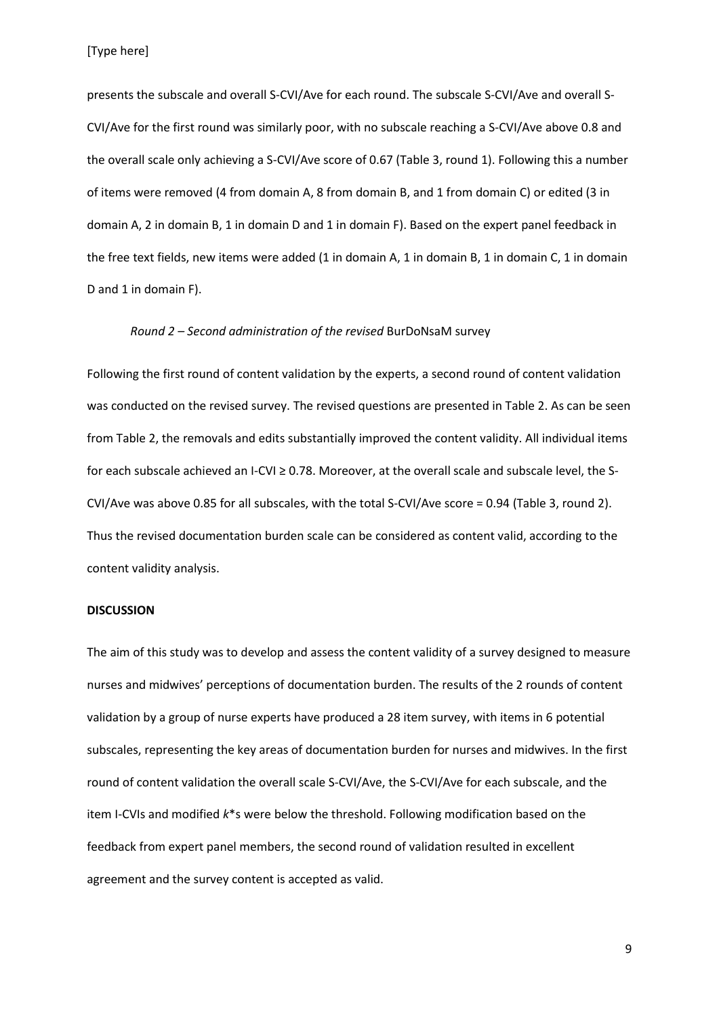[Type here]

presents the subscale and overall S-CVI/Ave for each round. The subscale S-CVI/Ave and overall S-CVI/Ave for the first round was similarly poor, with no subscale reaching a S-CVI/Ave above 0.8 and the overall scale only achieving a S-CVI/Ave score of 0.67 (Table 3, round 1). Following this a number of items were removed (4 from domain A, 8 from domain B, and 1 from domain C) or edited (3 in domain A, 2 in domain B, 1 in domain D and 1 in domain F). Based on the expert panel feedback in the free text fields, new items were added (1 in domain A, 1 in domain B, 1 in domain C, 1 in domain D and 1 in domain F).

## *Round 2 – Second administration of the revised* BurDoNsaM survey

Following the first round of content validation by the experts, a second round of content validation was conducted on the revised survey. The revised questions are presented in Table 2. As can be seen from Table 2, the removals and edits substantially improved the content validity. All individual items for each subscale achieved an I-CVI ≥ 0.78. Moreover, at the overall scale and subscale level, the S-CVI/Ave was above 0.85 for all subscales, with the total S-CVI/Ave score = 0.94 (Table 3, round 2). Thus the revised documentation burden scale can be considered as content valid, according to the content validity analysis.

## **DISCUSSION**

The aim of this study was to develop and assess the content validity of a survey designed to measure nurses and midwives' perceptions of documentation burden. The results of the 2 rounds of content validation by a group of nurse experts have produced a 28 item survey, with items in 6 potential subscales, representing the key areas of documentation burden for nurses and midwives. In the first round of content validation the overall scale S-CVI/Ave, the S-CVI/Ave for each subscale, and the item I-CVIs and modified *k*\*s were below the threshold. Following modification based on the feedback from expert panel members, the second round of validation resulted in excellent agreement and the survey content is accepted as valid.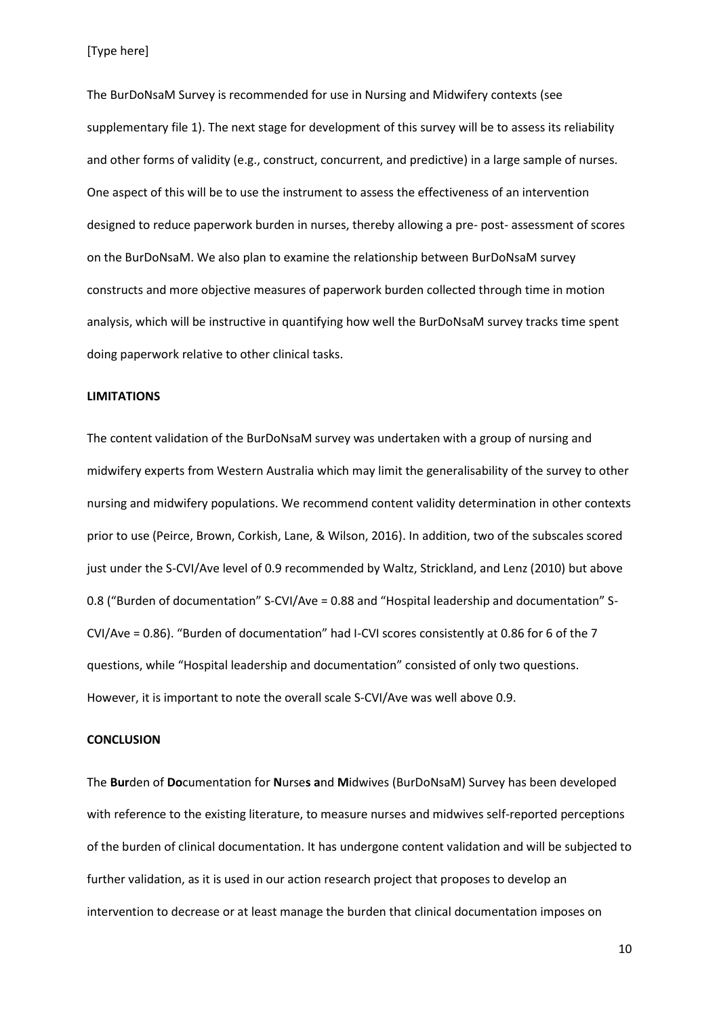[Type here]

The BurDoNsaM Survey is recommended for use in Nursing and Midwifery contexts (see supplementary file 1). The next stage for development of this survey will be to assess its reliability and other forms of validity (e.g., construct, concurrent, and predictive) in a large sample of nurses. One aspect of this will be to use the instrument to assess the effectiveness of an intervention designed to reduce paperwork burden in nurses, thereby allowing a pre- post- assessment of scores on the BurDoNsaM. We also plan to examine the relationship between BurDoNsaM survey constructs and more objective measures of paperwork burden collected through time in motion analysis, which will be instructive in quantifying how well the BurDoNsaM survey tracks time spent doing paperwork relative to other clinical tasks.

## **LIMITATIONS**

The content validation of the BurDoNsaM survey was undertaken with a group of nursing and midwifery experts from Western Australia which may limit the generalisability of the survey to other nursing and midwifery populations. We recommend content validity determination in other contexts prior to use (Peirce, Brown, Corkish, Lane, & Wilson, 2016). In addition, two of the subscales scored just under the S-CVI/Ave level of 0.9 recommended by Waltz, Strickland, and Lenz (2010) but above 0.8 ("Burden of documentation" S-CVI/Ave = 0.88 and "Hospital leadership and documentation" S-CVI/Ave = 0.86). "Burden of documentation" had I-CVI scores consistently at 0.86 for 6 of the 7 questions, while "Hospital leadership and documentation" consisted of only two questions. However, it is important to note the overall scale S-CVI/Ave was well above 0.9.

#### **CONCLUSION**

The **Bur**den of **Do**cumentation for **N**urse**s a**nd **M**idwives (BurDoNsaM) Survey has been developed with reference to the existing literature, to measure nurses and midwives self-reported perceptions of the burden of clinical documentation. It has undergone content validation and will be subjected to further validation, as it is used in our action research project that proposes to develop an intervention to decrease or at least manage the burden that clinical documentation imposes on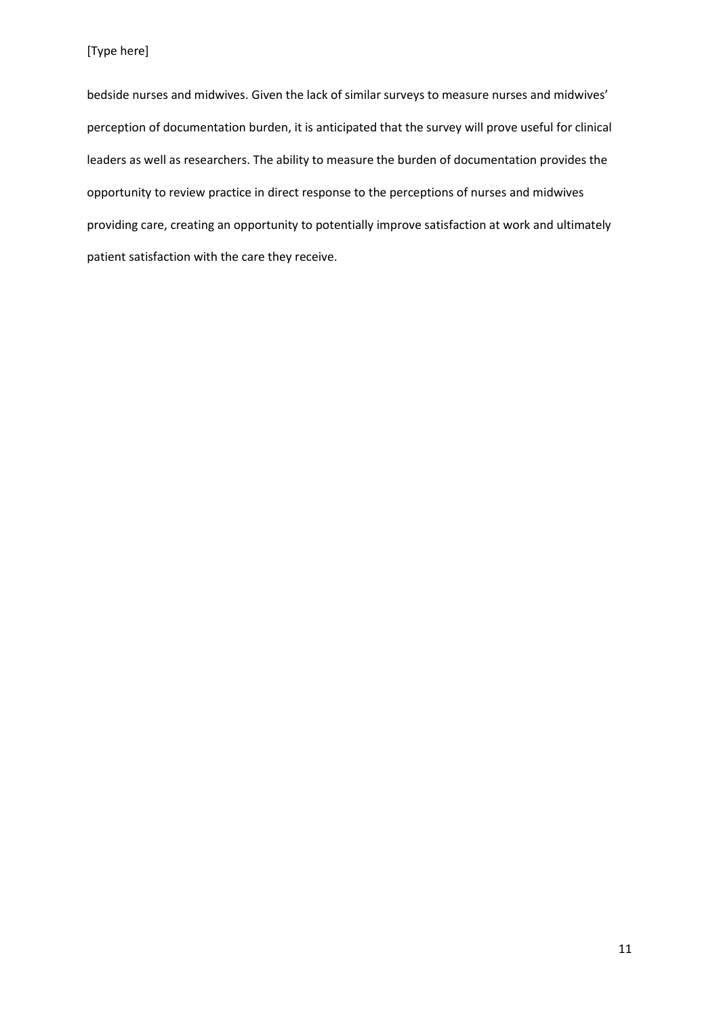bedside nurses and midwives. Given the lack of similar surveys to measure nurses and midwives' perception of documentation burden, it is anticipated that the survey will prove useful for clinical leaders as well as researchers. The ability to measure the burden of documentation provides the opportunity to review practice in direct response to the perceptions of nurses and midwives providing care, creating an opportunity to potentially improve satisfaction at work and ultimately patient satisfaction with the care they receive.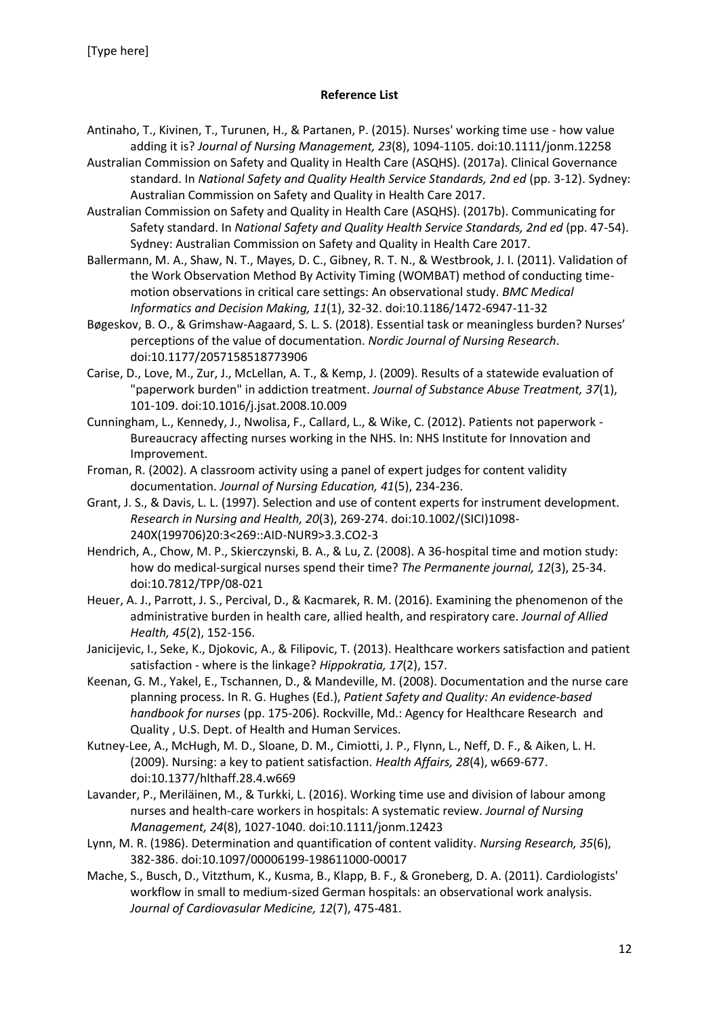# **Reference List**

- Antinaho, T., Kivinen, T., Turunen, H., & Partanen, P. (2015). Nurses' working time use how value adding it is? *Journal of Nursing Management, 23*(8), 1094-1105. doi:10.1111/jonm.12258
- Australian Commission on Safety and Quality in Health Care (ASQHS). (2017a). Clinical Governance standard. In *National Safety and Quality Health Service Standards, 2nd ed* (pp. 3-12). Sydney: Australian Commission on Safety and Quality in Health Care 2017.
- Australian Commission on Safety and Quality in Health Care (ASQHS). (2017b). Communicating for Safety standard. In *National Safety and Quality Health Service Standards, 2nd ed* (pp. 47-54). Sydney: Australian Commission on Safety and Quality in Health Care 2017.
- Ballermann, M. A., Shaw, N. T., Mayes, D. C., Gibney, R. T. N., & Westbrook, J. I. (2011). Validation of the Work Observation Method By Activity Timing (WOMBAT) method of conducting timemotion observations in critical care settings: An observational study. *BMC Medical Informatics and Decision Making, 11*(1), 32-32. doi:10.1186/1472-6947-11-32
- Bøgeskov, B. O., & Grimshaw-Aagaard, S. L. S. (2018). Essential task or meaningless burden? Nurses' perceptions of the value of documentation. *Nordic Journal of Nursing Research*. doi:10.1177/2057158518773906
- Carise, D., Love, M., Zur, J., McLellan, A. T., & Kemp, J. (2009). Results of a statewide evaluation of "paperwork burden" in addiction treatment. *Journal of Substance Abuse Treatment, 37*(1), 101-109. doi:10.1016/j.jsat.2008.10.009
- Cunningham, L., Kennedy, J., Nwolisa, F., Callard, L., & Wike, C. (2012). Patients not paperwork Bureaucracy affecting nurses working in the NHS. In: NHS Institute for Innovation and Improvement.
- Froman, R. (2002). A classroom activity using a panel of expert judges for content validity documentation. *Journal of Nursing Education, 41*(5), 234-236.
- Grant, J. S., & Davis, L. L. (1997). Selection and use of content experts for instrument development. *Research in Nursing and Health, 20*(3), 269-274. doi:10.1002/(SICI)1098- 240X(199706)20:3<269::AID-NUR9>3.3.CO2-3
- Hendrich, A., Chow, M. P., Skierczynski, B. A., & Lu, Z. (2008). A 36-hospital time and motion study: how do medical-surgical nurses spend their time? *The Permanente journal, 12*(3), 25-34. doi:10.7812/TPP/08-021
- Heuer, A. J., Parrott, J. S., Percival, D., & Kacmarek, R. M. (2016). Examining the phenomenon of the administrative burden in health care, allied health, and respiratory care. *Journal of Allied Health, 45*(2), 152-156.
- Janicijevic, I., Seke, K., Djokovic, A., & Filipovic, T. (2013). Healthcare workers satisfaction and patient satisfaction - where is the linkage? *Hippokratia, 17*(2), 157.
- Keenan, G. M., Yakel, E., Tschannen, D., & Mandeville, M. (2008). Documentation and the nurse care planning process. In R. G. Hughes (Ed.), *Patient Safety and Quality: An evidence-based handbook for nurses* (pp. 175-206). Rockville, Md.: Agency for Healthcare Research and Quality , U.S. Dept. of Health and Human Services.
- Kutney-Lee, A., McHugh, M. D., Sloane, D. M., Cimiotti, J. P., Flynn, L., Neff, D. F., & Aiken, L. H. (2009). Nursing: a key to patient satisfaction. *Health Affairs, 28*(4), w669-677. doi:10.1377/hlthaff.28.4.w669
- Lavander, P., Meriläinen, M., & Turkki, L. (2016). Working time use and division of labour among nurses and health‐care workers in hospitals: A systematic review. *Journal of Nursing Management, 24*(8), 1027-1040. doi:10.1111/jonm.12423
- Lynn, M. R. (1986). Determination and quantification of content validity. *Nursing Research, 35*(6), 382-386. doi:10.1097/00006199-198611000-00017
- Mache, S., Busch, D., Vitzthum, K., Kusma, B., Klapp, B. F., & Groneberg, D. A. (2011). Cardiologists' workflow in small to medium-sized German hospitals: an observational work analysis. *Journal of Cardiovasular Medicine, 12*(7), 475-481.